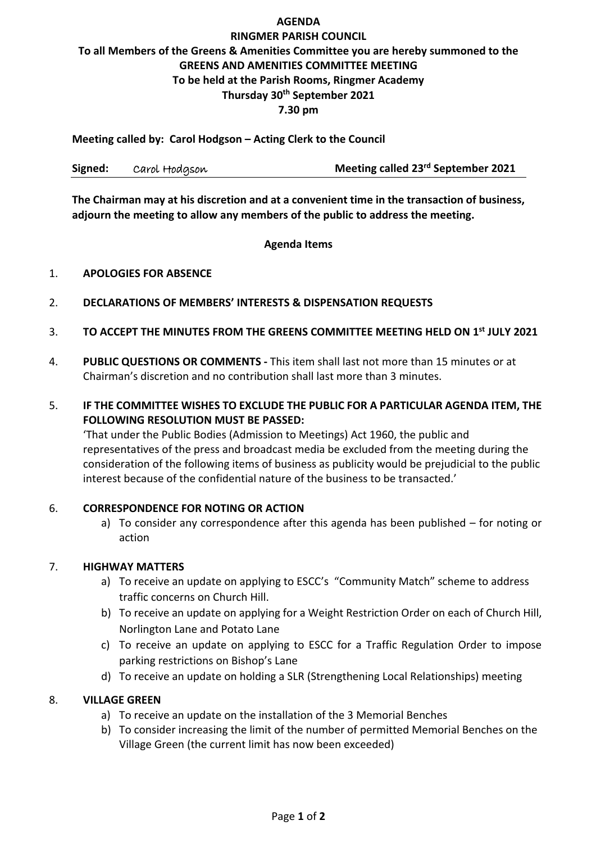#### **AGENDA**

# **RINGMER PARISH COUNCIL To all Members of the Greens & Amenities Committee you are hereby summoned to the GREENS AND AMENITIES COMMITTEE MEETING To be held at the Parish Rooms, Ringmer Academy Thursday 30th September 2021 7.30 pm**

**Meeting called by: Carol Hodgson – Acting Clerk to the Council**

| Signed: | Carol Hodgson | Meeting called 23 <sup>rd</sup> September 2021 |
|---------|---------------|------------------------------------------------|
|---------|---------------|------------------------------------------------|

**The Chairman may at his discretion and at a convenient time in the transaction of business, adjourn the meeting to allow any members of the public to address the meeting.**

#### **Agenda Items**

#### 1. **APOLOGIES FOR ABSENCE**

- 2. **DECLARATIONS OF MEMBERS' INTERESTS & DISPENSATION REQUESTS**
- 3. **TO ACCEPT THE MINUTES FROM THE GREENS COMMITTEE MEETING HELD ON 1 st JULY 2021**
- 4. **PUBLIC QUESTIONS OR COMMENTS -** This item shall last not more than 15 minutes or at Chairman's discretion and no contribution shall last more than 3 minutes.
- 5. **IF THE COMMITTEE WISHES TO EXCLUDE THE PUBLIC FOR A PARTICULAR AGENDA ITEM, THE FOLLOWING RESOLUTION MUST BE PASSED:**

'That under the Public Bodies (Admission to Meetings) Act 1960, the public and representatives of the press and broadcast media be excluded from the meeting during the consideration of the following items of business as publicity would be prejudicial to the public interest because of the confidential nature of the business to be transacted.'

### 6. **CORRESPONDENCE FOR NOTING OR ACTION**

a) To consider any correspondence after this agenda has been published – for noting or action

### 7. **HIGHWAY MATTERS**

- a) To receive an update on applying to ESCC's "Community Match" scheme to address traffic concerns on Church Hill.
- b) To receive an update on applying for a Weight Restriction Order on each of Church Hill, Norlington Lane and Potato Lane
- c) To receive an update on applying to ESCC for a Traffic Regulation Order to impose parking restrictions on Bishop's Lane
- d) To receive an update on holding a SLR (Strengthening Local Relationships) meeting

#### 8. **VILLAGE GREEN**

- a) To receive an update on the installation of the 3 Memorial Benches
- b) To consider increasing the limit of the number of permitted Memorial Benches on the Village Green (the current limit has now been exceeded)